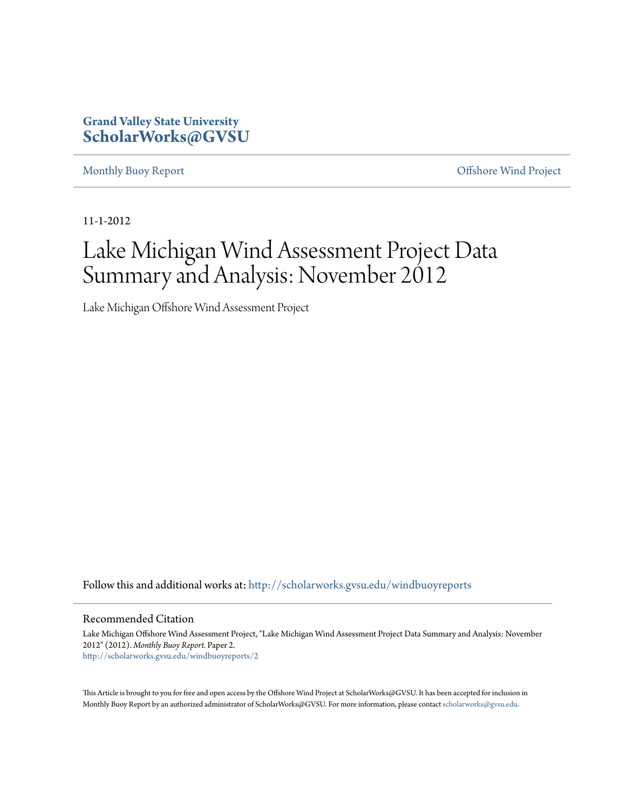## **Grand Valley State University [ScholarWorks@GVSU](http://scholarworks.gvsu.edu?utm_source=scholarworks.gvsu.edu%2Fwindbuoyreports%2F2&utm_medium=PDF&utm_campaign=PDFCoverPages)**

[Monthly Buoy Report](http://scholarworks.gvsu.edu/windbuoyreports?utm_source=scholarworks.gvsu.edu%2Fwindbuoyreports%2F2&utm_medium=PDF&utm_campaign=PDFCoverPages) [Offshore Wind Project](http://scholarworks.gvsu.edu/wind?utm_source=scholarworks.gvsu.edu%2Fwindbuoyreports%2F2&utm_medium=PDF&utm_campaign=PDFCoverPages)

11-1-2012

## Lake Michigan Wind Assessment Project Data Summary and Analysis: November 2012

Lake Michigan Offshore Wind Assessment Project

Follow this and additional works at: [http://scholarworks.gvsu.edu/windbuoyreports](http://scholarworks.gvsu.edu/windbuoyreports?utm_source=scholarworks.gvsu.edu%2Fwindbuoyreports%2F2&utm_medium=PDF&utm_campaign=PDFCoverPages)

## Recommended Citation

Lake Michigan Offshore Wind Assessment Project, "Lake Michigan Wind Assessment Project Data Summary and Analysis: November 2012" (2012). *Monthly Buoy Report.* Paper 2. [http://scholarworks.gvsu.edu/windbuoyreports/2](http://scholarworks.gvsu.edu/windbuoyreports/2?utm_source=scholarworks.gvsu.edu%2Fwindbuoyreports%2F2&utm_medium=PDF&utm_campaign=PDFCoverPages)

This Article is brought to you for free and open access by the Offshore Wind Project at ScholarWorks@GVSU. It has been accepted for inclusion in Monthly Buoy Report by an authorized administrator of ScholarWorks@GVSU. For more information, please contact [scholarworks@gvsu.edu](mailto:scholarworks@gvsu.edu).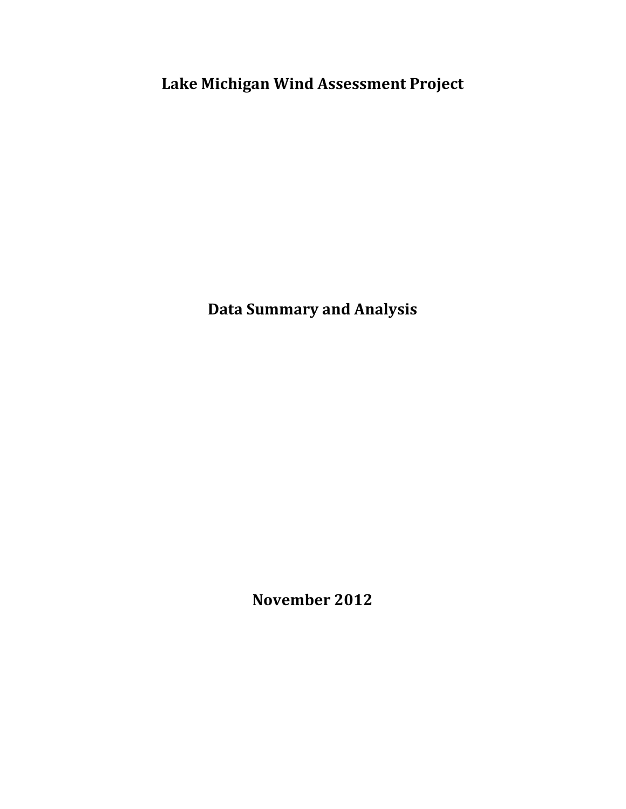Lake Michigan Wind Assessment Project

Data Summary and Analysis

November 2012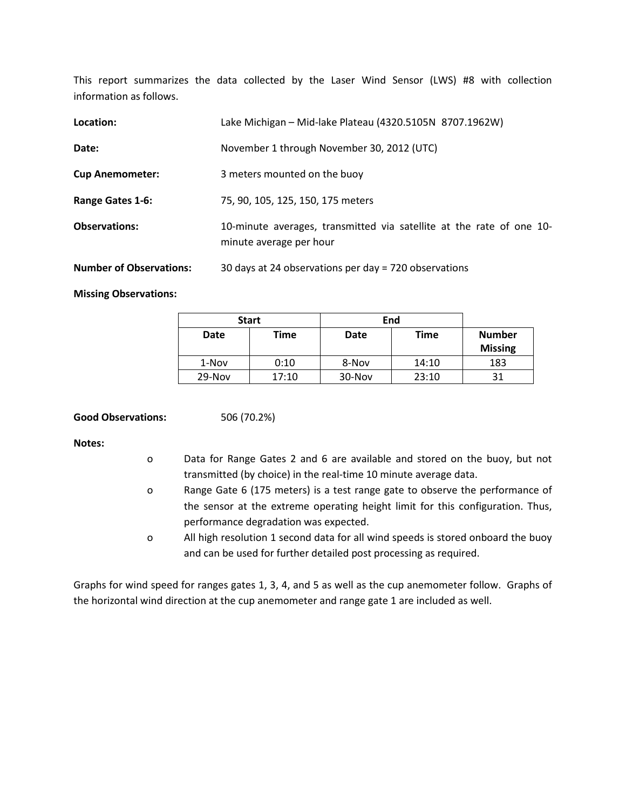This report summarizes the data collected by the Laser Wind Sensor (LWS) #8 with collection information as follows.

| Location:                      | Lake Michigan - Mid-lake Plateau (4320.5105N 8707.1962W)                                        |  |  |
|--------------------------------|-------------------------------------------------------------------------------------------------|--|--|
| Date:                          | November 1 through November 30, 2012 (UTC)                                                      |  |  |
| <b>Cup Anemometer:</b>         | 3 meters mounted on the buoy                                                                    |  |  |
| Range Gates 1-6:               | 75, 90, 105, 125, 150, 175 meters                                                               |  |  |
| <b>Observations:</b>           | 10-minute averages, transmitted via satellite at the rate of one 10-<br>minute average per hour |  |  |
| <b>Number of Observations:</b> | 30 days at 24 observations per day = 720 observations                                           |  |  |

Missing Observations:

| <b>Start</b> |       | End    |       |                                 |
|--------------|-------|--------|-------|---------------------------------|
| Date         | Time  | Date   | Time  | <b>Number</b><br><b>Missing</b> |
| 1-Nov        | 0:10  | 8-Nov  | 14:10 | 183                             |
| $29-Nov$     | 17:10 | 30-Nov | 23:10 | 31                              |

Good Observations: 506 (70.2%)

Notes:

- o Data for Range Gates 2 and 6 are available and stored on the buoy, but not transmitted (by choice) in the real-time 10 minute average data.
- o Range Gate 6 (175 meters) is a test range gate to observe the performance of the sensor at the extreme operating height limit for this configuration. Thus, performance degradation was expected.
- o All high resolution 1 second data for all wind speeds is stored onboard the buoy and can be used for further detailed post processing as required.

Graphs for wind speed for ranges gates 1, 3, 4, and 5 as well as the cup anemometer follow. Graphs of the horizontal wind direction at the cup anemometer and range gate 1 are included as well.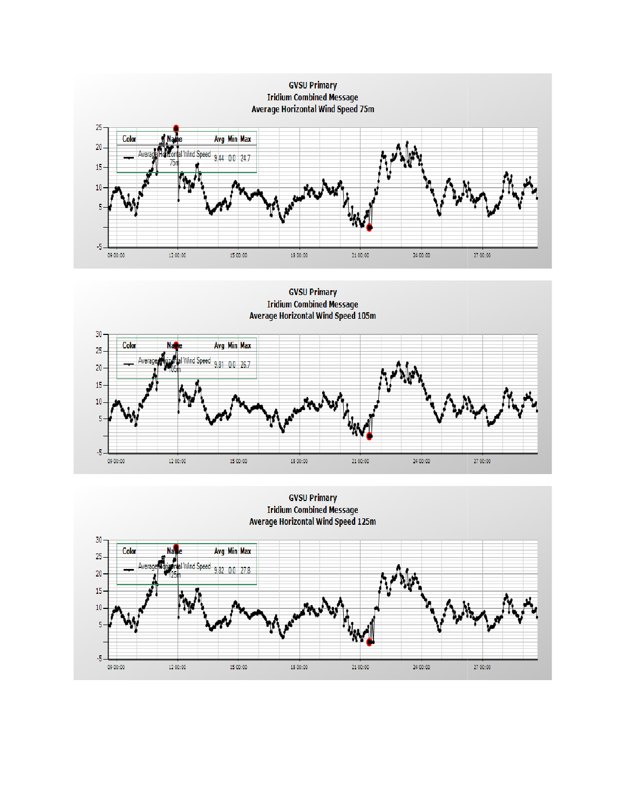

**GVSU Primary** Iridium Combined Message<br>Average Horizontal Wind Speed 105m



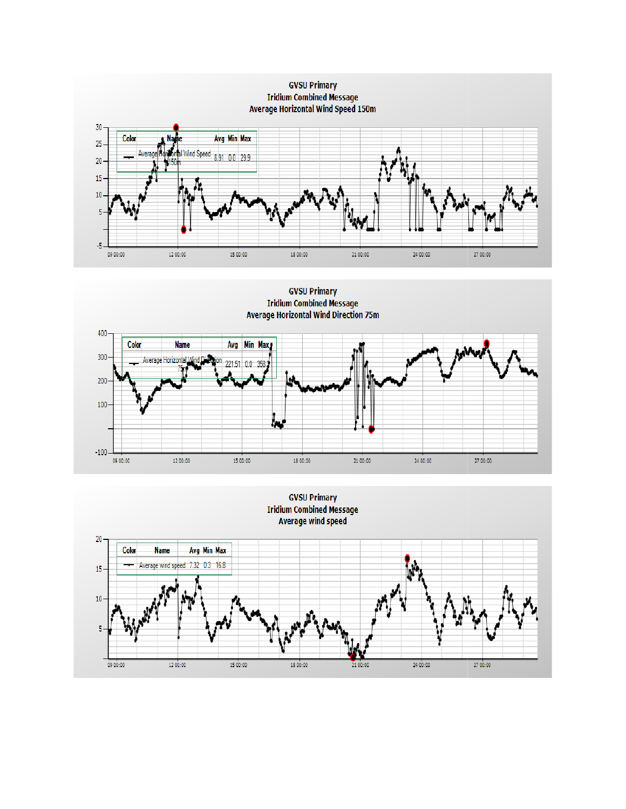

GVSU Primary<br>Iridium Combined Message **Average Horizontal Wind Direction 75m** 



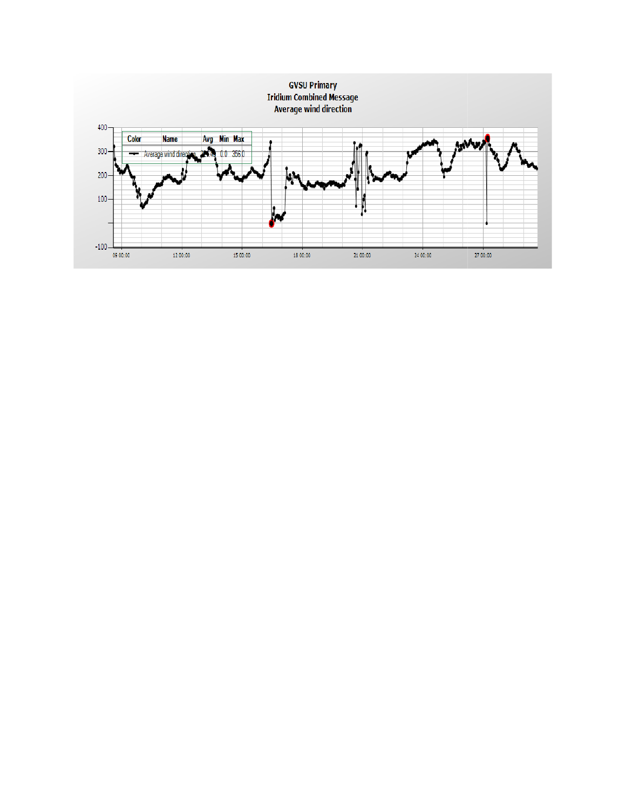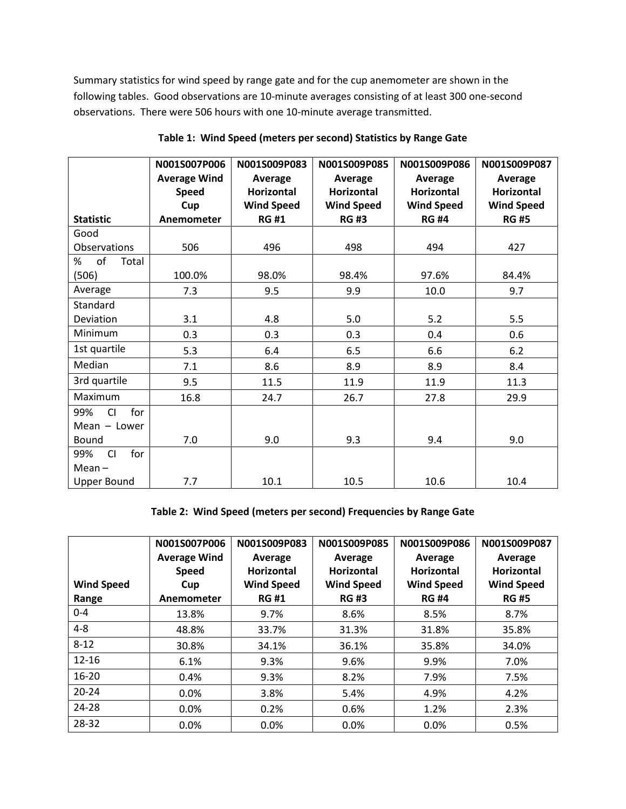Summary statistics for wind speed by range gate and for the cup anemometer are shown in the following tables. Good observations are 10-minute averages consisting of at least 300 one-second observations. There were 506 hours with one 10-minute average transmitted.

|                     | N001S007P006        | N001S009P083      | N001S009P085      | N001S009P086      | N001S009P087      |
|---------------------|---------------------|-------------------|-------------------|-------------------|-------------------|
|                     | <b>Average Wind</b> | Average           | Average           | Average           | Average           |
|                     | <b>Speed</b>        | <b>Horizontal</b> | <b>Horizontal</b> | <b>Horizontal</b> | <b>Horizontal</b> |
|                     | Cup                 | <b>Wind Speed</b> | <b>Wind Speed</b> | <b>Wind Speed</b> | <b>Wind Speed</b> |
| <b>Statistic</b>    | Anemometer          | <b>RG#1</b>       | <b>RG#3</b>       | <b>RG #4</b>      | <b>RG#5</b>       |
| Good                |                     |                   |                   |                   |                   |
| <b>Observations</b> | 506                 | 496               | 498               | 494               | 427               |
| of<br>%<br>Total    |                     |                   |                   |                   |                   |
| (506)               | 100.0%              | 98.0%             | 98.4%             | 97.6%             | 84.4%             |
| Average             | 7.3                 | 9.5               | 9.9               | 10.0              | 9.7               |
| Standard            |                     |                   |                   |                   |                   |
| Deviation           | 3.1                 | 4.8               | 5.0               | 5.2               | 5.5               |
| Minimum             | 0.3                 | 0.3               | 0.3               | 0.4               | 0.6               |
| 1st quartile        | 5.3                 | 6.4               | 6.5               | 6.6               | 6.2               |
| Median              | 7.1                 | 8.6               | 8.9               | 8.9               | 8.4               |
| 3rd quartile        | 9.5                 | 11.5              | 11.9              | 11.9              | 11.3              |
| Maximum             | 16.8                | 24.7              | 26.7              | 27.8              | 29.9              |
| 99%<br>CI<br>for    |                     |                   |                   |                   |                   |
| Mean - Lower        |                     |                   |                   |                   |                   |
| Bound               | 7.0                 | 9.0               | 9.3               | 9.4               | 9.0               |
| CI<br>for<br>99%    |                     |                   |                   |                   |                   |
| $Mean -$            |                     |                   |                   |                   |                   |
| <b>Upper Bound</b>  | 7.7                 | 10.1              | 10.5              | 10.6              | 10.4              |

Table 1: Wind Speed (meters per second) Statistics by Range Gate

## Table 2: Wind Speed (meters per second) Frequencies by Range Gate

|                   | N001S007P006        | N001S009P083      | N001S009P085      | N001S009P086      | N001S009P087      |
|-------------------|---------------------|-------------------|-------------------|-------------------|-------------------|
|                   | <b>Average Wind</b> | Average           | Average           | Average           | Average           |
|                   | <b>Speed</b>        | <b>Horizontal</b> | <b>Horizontal</b> | <b>Horizontal</b> | <b>Horizontal</b> |
| <b>Wind Speed</b> | Cup                 | <b>Wind Speed</b> | <b>Wind Speed</b> | <b>Wind Speed</b> | <b>Wind Speed</b> |
| Range             | Anemometer          | <b>RG#1</b>       | <b>RG#3</b>       | <b>RG#4</b>       | <b>RG#5</b>       |
| $0-4$             | 13.8%               | 9.7%              | 8.6%              | 8.5%              | 8.7%              |
| $4 - 8$           | 48.8%               | 33.7%             | 31.3%             | 31.8%             | 35.8%             |
| $8 - 12$          | 30.8%               | 34.1%             | 36.1%             | 35.8%             | 34.0%             |
| $12 - 16$         | 6.1%                | 9.3%              | 9.6%              | 9.9%              | 7.0%              |
| $16 - 20$         | 0.4%                | 9.3%              | 8.2%              | 7.9%              | 7.5%              |
| $20 - 24$         | 0.0%                | 3.8%              | 5.4%              | 4.9%              | 4.2%              |
| 24-28             | 0.0%                | 0.2%              | 0.6%              | 1.2%              | 2.3%              |
| 28-32             | 0.0%                | 0.0%              | 0.0%              | 0.0%              | 0.5%              |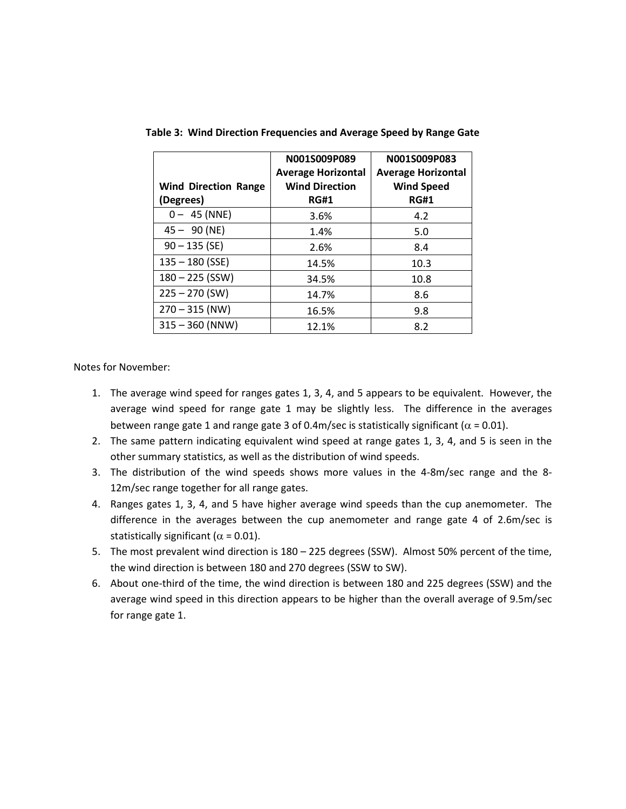|                             | N001S009P089              | N001S009P083              |
|-----------------------------|---------------------------|---------------------------|
|                             | <b>Average Horizontal</b> | <b>Average Horizontal</b> |
| <b>Wind Direction Range</b> | <b>Wind Direction</b>     | <b>Wind Speed</b>         |
| (Degrees)                   | <b>RG#1</b>               | <b>RG#1</b>               |
| $0 - 45$ (NNE)              | 3.6%                      | 4.2                       |
| $45 - 90$ (NE)              | 1.4%                      | 5.0                       |
| $90 - 135$ (SE)             | 2.6%                      | 8.4                       |
| $135 - 180$ (SSE)           | 14.5%                     | 10.3                      |
| $180 - 225$ (SSW)           | 34.5%                     | 10.8                      |
| $225 - 270$ (SW)            | 14.7%                     | 8.6                       |
| $270 - 315$ (NW)            | 16.5%                     | 9.8                       |
| $315 - 360$ (NNW)           | 12.1%                     | 8.2                       |

Table 3: Wind Direction Frequencies and Average Speed by Range Gate

Notes for November:

- 1. The average wind speed for ranges gates 1, 3, 4, and 5 appears to be equivalent. However, the average wind speed for range gate 1 may be slightly less. The difference in the averages between range gate 1 and range gate 3 of 0.4m/sec is statistically significant ( $\alpha$  = 0.01).
- 2. The same pattern indicating equivalent wind speed at range gates 1, 3, 4, and 5 is seen in the other summary statistics, as well as the distribution of wind speeds.
- 3. The distribution of the wind speeds shows more values in the 4-8m/sec range and the 8- 12m/sec range together for all range gates.
- 4. Ranges gates 1, 3, 4, and 5 have higher average wind speeds than the cup anemometer. The difference in the averages between the cup anemometer and range gate 4 of 2.6m/sec is statistically significant ( $\alpha$  = 0.01).
- 5. The most prevalent wind direction is 180 225 degrees (SSW). Almost 50% percent of the time, the wind direction is between 180 and 270 degrees (SSW to SW).
- 6. About one-third of the time, the wind direction is between 180 and 225 degrees (SSW) and the average wind speed in this direction appears to be higher than the overall average of 9.5m/sec for range gate 1.